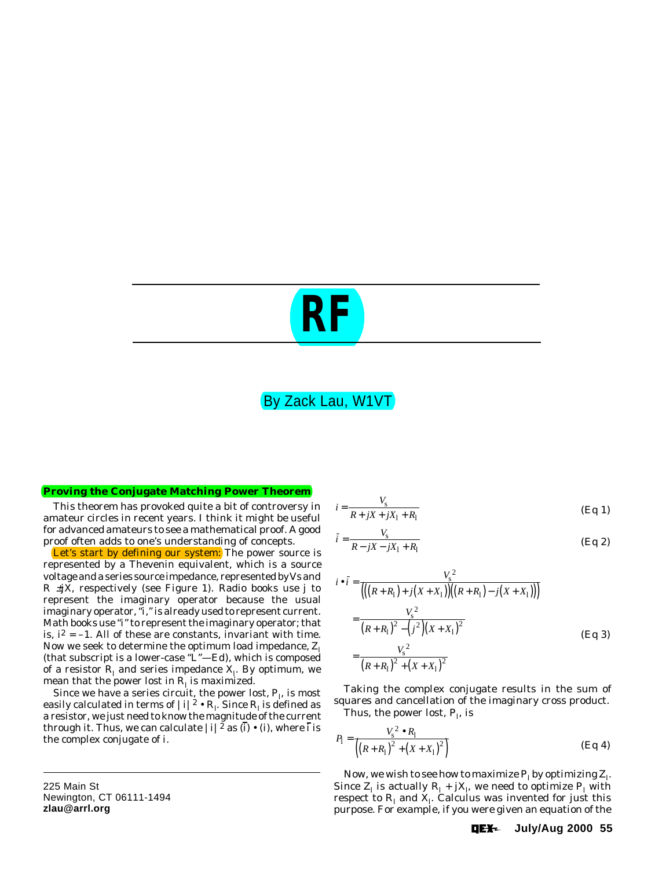# *RF*

# By Zack Lau, W1VT

#### **Proving the Conjugate Matching Power Theorem**

This theorem has provoked quite a bit of controversy in amateur circles in recent years. I think it might be useful for advanced amateurs to see a mathematical proof. A good proof often adds to one's understanding of concepts.

Let's start by defining our system: The power source is represented by a Thevenin equivalent, which is a source voltage and a series source impedance, represented by *V*s and *R* ±*jX*, respectively (see Figure 1). Radio books use *j* to represent the imaginary operator because the usual imaginary operator, "*i,*" is already used to represent current. Math books use "*i*" to represent the imaginary operator; that is,  $\hat{I}^2 = -1$ . All of these are constants, invariant with time. Now we seek to determine the optimum load impedance, *Z*<sup>l</sup> (that subscript is a lower-case "L"—*Ed*), which is composed of a resistor  $R_{\rm l}$  and series impedance  $X_{\rm l}$ . By optimum, we mean that the power lost in  $R_{\rm l}$  is maximized.

Since we have a series circuit, the power lost,  $P_{\rm l}$ , is most easily calculated in terms of  $|i|^2 \bullet R_{\rm l}$ . Since  $R_{\rm l}$  is defined as a resistor, we just need to know the magnitude of the current through it. Thus, we can calculate  $|i|^2$  as  $(\vec{i}) \cdot (i)$ , where  $\vec{i}$  is the complex conjugate of *i*.

225 Main St Newington, CT 06111-1494 **zlau@arrl.org**

$$
i = \frac{V_{\rm s}}{R + jX + jX_1 + R_1}
$$
 (Eq 1)

$$
\bar{i} = \frac{V_{\rm s}}{R - jX - jX_1 + R_1}
$$
 (Eq 2)

$$
i \bullet \bar{i} = \frac{V_s^2}{\left( \left( (R + R_1) + j(X + X_1) \right) \left( (R + R_1) - j(X + X_1) \right) \right)}
$$
  
= 
$$
\frac{V_s^2}{\left( R + R_1 \right)^2 - \left( j^2 \right) \left( X + X_1 \right)^2}
$$
  
= 
$$
\frac{V_s^2}{\left( R + R_1 \right)^2 + \left( X + X_1 \right)^2}
$$
(Eq 3)

Taking the complex conjugate results in the sum of squares and cancellation of the imaginary cross product. Thus, the power lost,  $P_{\rm l}$ , is

$$
P_1 = \frac{V_s^2 \bullet R_1}{\left( (R + R_1)^2 + (X + X_1)^2 \right)}
$$
(Eq 4)

Now, we wish to see how to maximize  $P_1$  by optimizing  $Z_1$ . Since  $Z_1$  is actually  $R_1 + jX_1$ , we need to optimize  $P_1$  with respect to  $R_{\rm l}$  and  $X_{\rm l}$ . Calculus was invented for just this purpose. For example, if you were given an equation of the

> OE<del>X</del>~ **July/Aug 2000 55**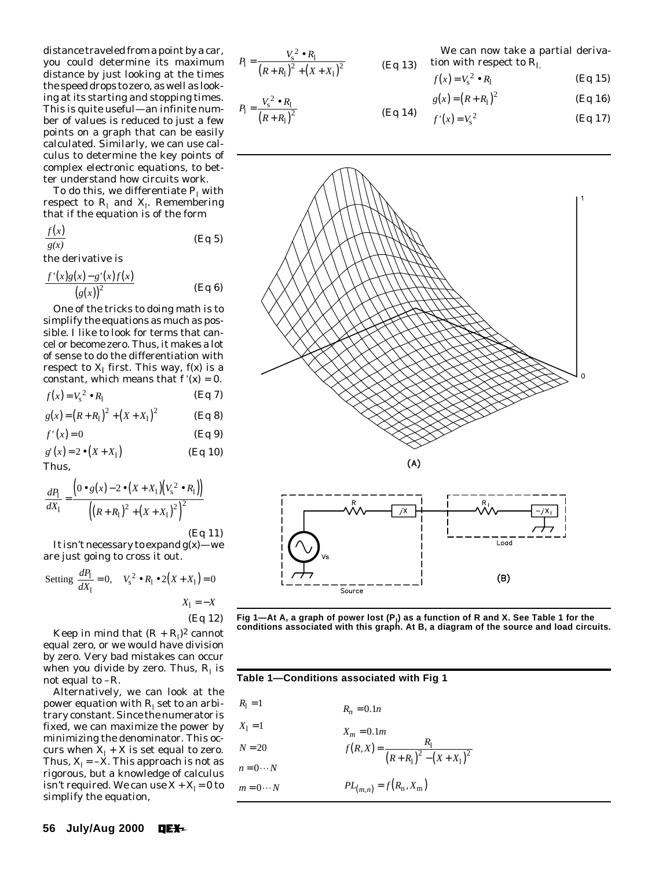distance traveled from a point by a car, you could determine its maximum distance by just looking at the times the speed drops to zero, as well as looking at its starting and stopping times. This is quite useful—an infinite number of values is reduced to just a few points on a graph that can be easily calculated. Similarly, we can use calculus to determine the key points of complex electronic equations, to better understand how circuits work.

To do this, we differentiate  $P_{\rm l}$  with  $\mathop{\mathsf{respect}}$  to  $R_{\mathrm{l}}$  and  $X_{\mathrm{l}}$ . Remembering that if the equation is of the form

$$
\frac{f(x)}{g(x)} \qquad \qquad (\text{Eq 5})
$$

the derivative is

$$
\frac{f'(x)g(x)-g'(x)f(x)}{\left(g(x)\right)^2}
$$
 (Eq 6)

One of the tricks to doing math is to simplify the equations as much as possible. I like to look for terms that cancel or become zero. Thus, it makes a lot of sense to do the differentiation with respect to  $X_1$  first. This way,  $f(x)$  is a constant, which means that  $f'(x) = 0$ .

$$
f(x) = V_{\rm s}^2 \bullet R_{\rm l} \tag{Eq 7}
$$

$$
g(x) = (R + R_1)^2 + (X + X_1)^2
$$
 (Eq 8)

$$
f'(x) = 0 \tag{Eq 9}
$$

$$
g'(x) = 2 \bullet (X + X_1)
$$
 (Eq 10)  
Thus,

$$
\frac{dP_1}{dX_1} = \frac{\left(0 \bullet g(x) - 2 \bullet (X + X_1)(V_s^2 \bullet R_1)\right)}{\left(\left(R + R_1\right)^2 + \left(X + X_1\right)^2\right)^2}
$$

(Eq 11)

It isn't necessary to expand *g*(*x*)—we are just going to cross it out.

Setting 
$$
\frac{dP_1}{dX_1} = 0
$$
,  $V_s^2 \cdot R_1 \cdot 2(X + X_1) = 0$   
 $X_1 = -X$ 

$$
(Eq 12)
$$

Keep in mind that  $(R + R_1)^2$  cannot equal zero, or we would have division by zero. Very bad mistakes can occur when you divide by zero. Thus,  $R_{\rm l}$  is not equal to –*R*.

Alternatively, we can look at the power equation with  $R_{\rm l}$  set to an arbitrary constant. Since the numerator is fixed, we can maximize the power by minimizing the denominator. This occurs when  $X_{\rm l}$  +  $X$  is set equal to zero. Thus,  $X_{\rm l}$  =  $-X$ . This approach is not as rigorous, but a knowledge of calculus isn't required. We can use  $X + X$ <sub>l</sub> = 0 to simplify the equation,

$$
P_1 = \frac{V_s^2 \bullet R_1}{(R + R_1)^2 + (X + X_1)^2}
$$
 (Eq 13) t

$$
P_1 = \frac{V_s^2 \bullet R_1}{(R + R_1)^2}
$$

We can now take a partial derivaion with respect to  $R_1$ .

$$
f(x) = V_s^2 \bullet R_1 \tag{Eq 15}
$$

$$
g(x) = (R + R_1)^2
$$
 (Eq 16)

(Eq 14) 
$$
f'(x) = V_s^2
$$
 (Eq 17)



(Eq 12) **Fig 1—At A, a graph of power lost (P<sub>I</sub>) as a function of R and X. See Table 1 for the conditions associated with this graph. At B, a diagram of the source and load circuits.**

| Table 1—Conditions associated with Fig 1 |                                                   |  |  |  |  |  |
|------------------------------------------|---------------------------------------------------|--|--|--|--|--|
| $R_1 = 1$                                | $R_n = 0.1n$                                      |  |  |  |  |  |
| $X_1 = 1$                                | $X_m = 0.1m$                                      |  |  |  |  |  |
| $N = 20$                                 | $f(R, X) = \frac{R_1}{(R + R_1)^2 - (X + X_1)^2}$ |  |  |  |  |  |
| $n=0\cdots N$                            |                                                   |  |  |  |  |  |
| $m = 0 \cdots N$                         | $PL_{(m,n)} = f(R_n, X_m)$                        |  |  |  |  |  |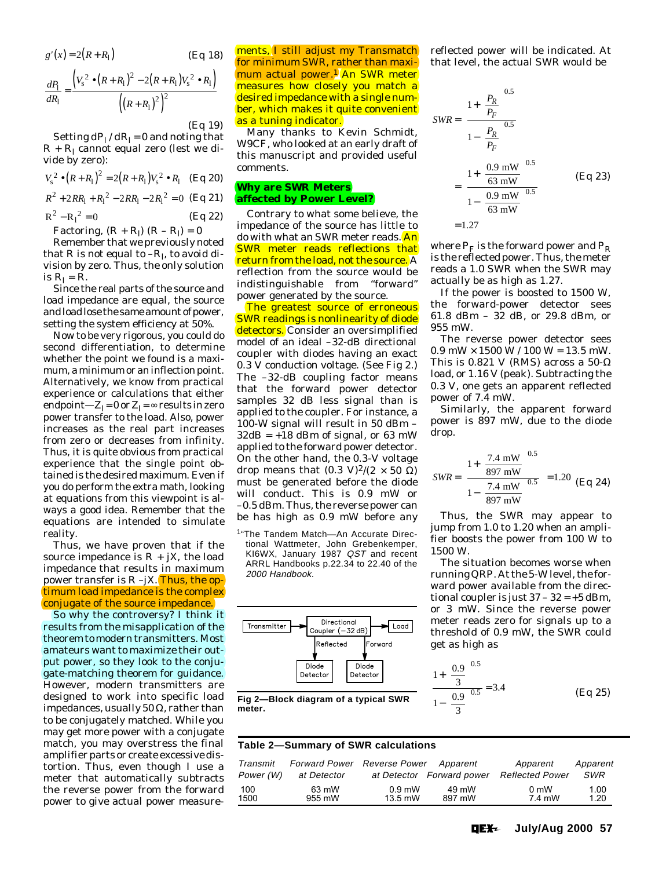$$
g'(x) = 2(R + R_1)
$$
 (Eq 18)

$$
\frac{dP_1}{dR_1} = \frac{\left(V_s^2 \bullet (R + R_1)^2 - 2(R + R_1)V_s^2 \bullet R_1\right)}{\left(\left(R + R_1\right)^2\right)^2}
$$

$$
(Eq 19)
$$

Setting  $dP_1/dR_1 = 0$  and noting that  $R + R_1$  cannot equal zero (lest we divide by zero):

$$
V_s^2 \bullet (R + R_1)^2 = 2(R + R_1)V_s^2 \bullet R_1 \quad \text{(Eq 20)}
$$
\n
$$
R^2 + 2RR_1 + R_1^2 - 2RR_1 - 2R_1^2 = 0 \quad \text{(Eq 21)}
$$

$$
R^{2} - R_{1}^{2} = 0
$$
 (Eq 22)  
Factoring,  $(R + R_{1})(R - R_{1}) = 0$ 

Remember that we previously noted that *R* is not equal to  $-R<sub>l</sub>$ , to avoid division by zero. Thus, the only solution is  $R_1 = R$ .

Since the real parts of the source and load impedance are equal, the source and load lose the same amount of power, setting the system efficiency at 50%.

Now to be very rigorous, you could do second differentiation, to determine whether the point we found is a maximum, a minimum or an inflection point. Alternatively, we know from practical experience or calculations that either endpoint— $Z_1 = 0$  or  $Z_1 = \infty$  results in zero power transfer to the load. Also, power increases as the real part increases from zero or decreases from infinity. Thus, it is quite obvious from practical experience that the single point obtained is the desired maximum. Even if you do perform the extra math, looking at equations from this viewpoint is always a good idea. Remember that the equations are intended to simulate reality.

Thus, we have proven that if the source impedance is  $R + jX$ , the load impedance that results in maximum power transfer is  $R - jX$ . Thus, the optimum load impedance is the complex conjugate of the source impedance.

So why the controversy? I think it results from the misapplication of the theorem to modern transmitters. Most amateurs want to maximize their output power, so they look to the conjugate-matching theorem for guidance. However, modern transmitters are designed to work into specific load impedances, usually 50 Ω, rather than to be conjugately matched. While you may get more power with a conjugate match, you may overstress the final amplifier parts or create excessive distortion. Thus, even though I use a meter that automatically subtracts the reverse power from the forward power to give actual power measurements, I still adjust my Transmatch for minimum SWR, rather than maximum actual power.<sup>1</sup> An SWR meter measures how closely you match a desired impedance with a single number, which makes it quite convenient as a tuning indicator.

Many thanks to Kevin Schmidt, W9CF, who looked at an early draft of this manuscript and provided useful comments.

#### **Why are SWR Meters affected by Power Level?**

Contrary to what some believe, the impedance of the source has little to do with what an SWR meter reads. An SWR meter reads reflections that return from the load, not the source. A reflection from the source would be indistinguishable from "forward" power generated by the source.

The greatest source of erroneous SWR readings is nonlinearity of diode detectors. Consider an oversimplified model of an ideal –32-dB directional coupler with diodes having an exact 0.3 V conduction voltage. (See Fig 2.) The –32-dB coupling factor means that the forward power detector samples 32 dB less signal than is applied to the coupler. For instance, a 100-W signal will result in 50 dBm –  $32dB = +18$  dBm of signal, or 63 mW applied to the forward power detector. On the other hand, the 0.3-V voltage drop means that  $(0.3 \text{ V})^2/(2 \times 50 \Omega)$ must be generated before the diode will conduct. This is 0.9 mW or –0.5 dBm. Thus, the reverse power can be has high as 0.9 mW before *any*

1"The Tandem Match—An Accurate Directional Wattmeter, John Grebenkemper, KI6WX, January 1987 QST and recent ARRL Handbooks p.22.34 to 22.40 of the 2000 Handbook.



reflected power will be indicated. At that level, the actual SWR would be

$$
SWR = \frac{\left(1 + \left(\frac{P_R}{P_F}\right)^{0.5}\right)}{1 - \left(\frac{P_R}{P_F}\right)^{0.5}}\right)
$$
  
= 
$$
\left(\frac{1 + \left(\frac{0.9 \text{ mW}}{63 \text{ mV}}\right)^{0.5}}{1 - \left(\frac{0.9 \text{ mW}}{63 \text{ mW}}\right)^{0.5}}\right)
$$
 (Eq 23)  
= 1.27

where  $P_F$  is the forward power and  $P_R$ is the reflected power. Thus, the meter reads a 1.0 SWR when the SWR may actually be as high as 1.27.

If the power is boosted to 1500 W, the forward-power detector sees 61.8 dBm – 32 dB, or 29.8 dBm, or 955 mW.

The reverse power detector sees  $0.9$  mW  $\times$  1500 W / 100 W = 13.5 mW. This is 0.821 V (RMS) across a 50- $\Omega$ load, or 1.16 V (peak). Subtracting the 0.3 V, one gets an apparent reflected power of 7.4 mW.

Similarly, the apparent forward power is 897 mW, due to the diode drop.

$$
SWR = \left(\frac{1 + \left(\frac{7.4 \text{ mW}}{897 \text{ mW}}\right)^{0.5}}{1 - \left(\frac{7.4 \text{ mW}}{897 \text{ mW}}\right)^{0.5}}\right) = 1.20 \text{ (Eq 24)}
$$

Thus, the SWR may appear to jump from 1.0 to 1.20 when an amplifier boosts the power from 100 W to 1500 W.

The situation becomes worse when running QRP. At the 5-W level, the forward power available from the directional coupler is just  $37 - 32 = +5$  dBm, or 3 mW. Since the reverse power meter reads zero for signals up to a threshold of 0.9 mW, the SWR could get as high as

$$
\frac{1 + \left(\frac{0.9}{3}\right)^{0.5}}{1 - \left(\frac{0.9}{3}\right)^{0.5}} = 3.4
$$
 (Eq 25)

Fig 2-Block diagram of a typical SWR **meter.**

#### **Table 2—Summary of SWR calculations**

| Transmit  | <b>Forward Power</b> Reverse Power |           | Apparent                  | Apparent               | Apparent |
|-----------|------------------------------------|-----------|---------------------------|------------------------|----------|
| Power (W) | at Detector                        |           | at Detector Forward power | <b>Reflected Power</b> | SWR      |
| 100       | 63 mW                              | $0.9$ mW  | 49 mW                     | 0 <sub>m</sub>         | 1.00     |
| 1500      | 955 mW                             | $13.5$ mW | 897 mW                    | 7.4 mW                 | 1.20     |